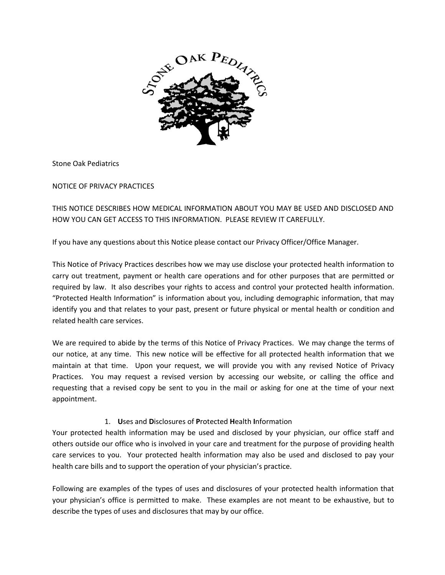

Stone Oak Pediatrics

NOTICE OF PRIVACY PRACTICES

THIS NOTICE DESCRIBES HOW MEDICAL INFORMATION ABOUT YOU MAY BE USED AND DISCLOSED AND HOW YOU CAN GET ACCESS TO THIS INFORMATION. PLEASE REVIEW IT CAREFULLY.

If you have any questions about this Notice please contact our Privacy Officer/Office Manager.

This Notice of Privacy Practices describes how we may use disclose your protected health information to carry out treatment, payment or health care operations and for other purposes that are permitted or required by law. It also describes your rights to access and control your protected health information. "Protected Health Information" is information about you, including demographic information, that may identify you and that relates to your past, present or future physical or mental health or condition and related health care services.

We are required to abide by the terms of this Notice of Privacy Practices. We may change the terms of our notice, at any time. This new notice will be effective for all protected health information that we maintain at that time. Upon your request, we will provide you with any revised Notice of Privacy Practices. You may request a revised version by accessing our website, or calling the office and requesting that a revised copy be sent to you in the mail or asking for one at the time of your next appointment.

# 1. **U**ses and **D**isclosures of **P**rotected **H**ealth **I**nformation

Your protected health information may be used and disclosed by your physician, our office staff and others outside our office who is involved in your care and treatment for the purpose of providing health care services to you. Your protected health information may also be used and disclosed to pay your health care bills and to support the operation of your physician's practice.

Following are examples of the types of uses and disclosures of your protected health information that your physician's office is permitted to make. These examples are not meant to be exhaustive, but to describe the types of uses and disclosures that may by our office.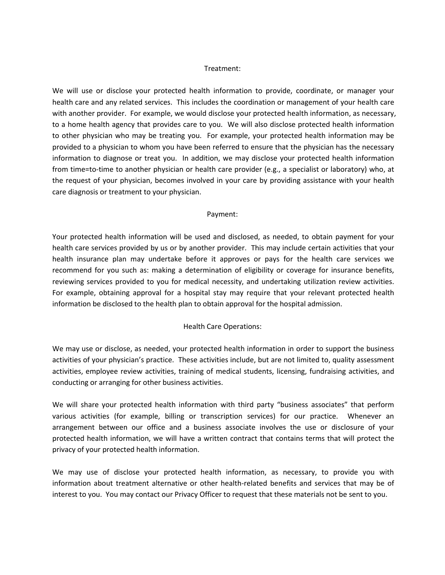#### Treatment:

We will use or disclose your protected health information to provide, coordinate, or manager your health care and any related services. This includes the coordination or management of your health care with another provider. For example, we would disclose your protected health information, as necessary, to a home health agency that provides care to you. We will also disclose protected health information to other physician who may be treating you. For example, your protected health information may be provided to a physician to whom you have been referred to ensure that the physician has the necessary information to diagnose or treat you. In addition, we may disclose your protected health information from time=to-time to another physician or health care provider (e.g., a specialist or laboratory) who, at the request of your physician, becomes involved in your care by providing assistance with your health care diagnosis or treatment to your physician.

#### Payment:

Your protected health information will be used and disclosed, as needed, to obtain payment for your health care services provided by us or by another provider. This may include certain activities that your health insurance plan may undertake before it approves or pays for the health care services we recommend for you such as: making a determination of eligibility or coverage for insurance benefits, reviewing services provided to you for medical necessity, and undertaking utilization review activities. For example, obtaining approval for a hospital stay may require that your relevant protected health information be disclosed to the health plan to obtain approval for the hospital admission.

### Health Care Operations:

We may use or disclose, as needed, your protected health information in order to support the business activities of your physician's practice. These activities include, but are not limited to, quality assessment activities, employee review activities, training of medical students, licensing, fundraising activities, and conducting or arranging for other business activities.

We will share your protected health information with third party "business associates" that perform various activities (for example, billing or transcription services) for our practice. Whenever an arrangement between our office and a business associate involves the use or disclosure of your protected health information, we will have a written contract that contains terms that will protect the privacy of your protected health information.<br>We may use of disclose your protected health information, as necessary, to provide you with

information about treatment alternative or other health-related benefits and services that may be of interest to you. You may contact our Privacy Officer to request that these materials not be sent to you.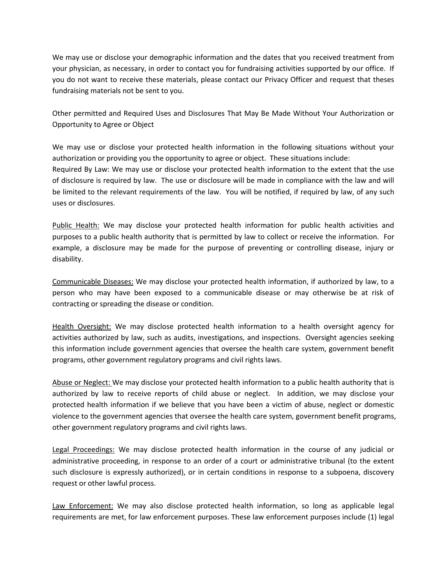We may use or disclose your demographic information and the dates that you received treatment from your physician, as necessary, in order to contact you for fundraising activities supported by our office. If you do not want to receive these materials, please contact our Privacy Officer and request that theses fundraising materials not be sent to you.

Other permitted and Required Uses and Disclosures That May Be Made Without Your Authorization or Opportunity to Agree or Object

We may use or disclose your protected health information in the following situations without your authorization or providing you the opportunity to agree or object. These situations include: Required By Law: We may use or disclose your protected health information to the extent that the use of disclosure is required by law. The use or disclosure will be made in compliance with the law and will be limited to the relevant requirements of the law. You will be notified, if required by law, of any such uses or disclosures.

Public Health: We may disclose your protected health information for public health activities and purposes to a public health authority that is permitted by law to collect or receive the information. For example, a disclosure may be made for the purpose of preventing or controlling disease, injury or disability.

Communicable Diseases: We may disclose your protected health information, if authorized by law, to a person who may have been exposed to acommunicable disease or may otherwise be at risk of contracting or spreading the disease or condition.

Health Oversight: We may disclose protected health information to a health oversight agency for activities authorized by law, such as audits, investigations, and inspections. Oversight agencies seeking this information include government agencies that oversee the health care system, government benefit programs, other government regulatory programs and civil rights laws.

Abuse or Neglect: We may disclose your protected health information to a public health authority that is authorized bylaw to receive reports of child abuse or neglect. In addition, we may disclose your protected health information if we believe that you have been a victim of abuse, neglect or domestic violence to the government agencies that oversee the health care system, government benefit programs, other government regulatory programs and civil rights laws.

Legal Proceedings: We may disclose protected health information in the course of any judicial or administrative proceeding, in response to an order of a court or administrative tribunal (to the extent such disclosure is expressly authorized), or in certain conditions in response to a subpoena, discovery request or other lawful process.

Law Enforcement: We may also disclose protected health information, so long as applicable legal requirements are met, for law enforcement purposes. These law enforcement purposes include (1) legal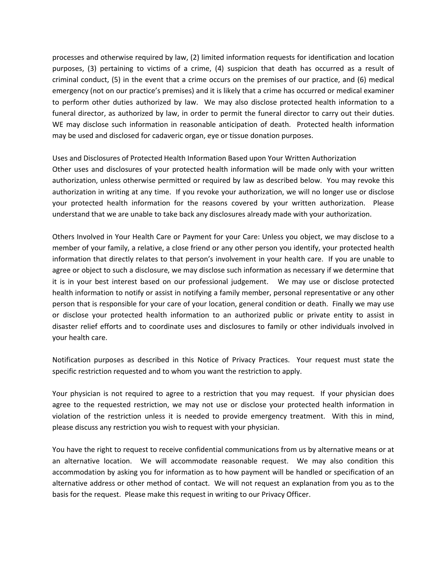processes and otherwise required by law, (2) limited information requests for identification and location purposes, (3) pertaining to victims of a crime, (4) suspicion that death has occurred as a result of criminal conduct, (5) in the event that a crime occurs on the premises of our practice, and (6) medical emergency (not on our practice's premises) and it is likely that a crime has occurred or medical examiner to perform other duties authorized by law. We may also disclose protected health information to a funeral director, as authorized by law, in order to permit the funeral director to carry out their duties. WE may disclose such information in reasonable anticipation of death. Protected health information may be used and disclosed for cadaveric organ, eye or tissue donation purposes.

### Uses and Disclosures of Protected Health Information Based upon Your Written Authorization

Other uses and disclosures of your protected health information will be made only with your written authorization, unless otherwise permitted or required by law as described below. You may revoke this authorization in writing at any time. If you revoke your authorization, we will no longer use or disclose your protected health information for the reasons covered by your written authorization. Please understand that we are unable to take back any disclosures already made with your authorization.

Others Involved in Your Health Care or Payment for your Care: Unless you object, we may disclose to a member of your family, a relative, a close friend or any other person you identify, your protected health information that directly relates to that person's involvement in your health care. If you are unable to agree or object to such a disclosure, we may disclose such information as necessary if we determine that it is in your best interest based on our professional judgement. We may use or disclose protected health information to notify or assist in notifying a family member, personal representative or any other person that is responsible for your care of your location, general condition or death. Finally we may use or disclose your protected health information to an authorized public or private entity to assist in disaster relief efforts and to coordinate uses and disclosures to family or other individuals involved in your health care.

Notification purposes as described in this Notice of Privacy Practices. Your request must state the specific restriction requested and to whom you want the restriction to apply.

Your physician is not required to agree to a restriction that you may request. If your physician does agree to the requested restriction, we may not use or disclose your protected health information in violation of the restriction unless it is needed to provide emergency treatment. With this in mind, please discuss any restriction you wish to request with your physician.

You have the right to request to receive confidential communications from us by alternative means or at an alternative location. We will accommodate reasonable request. We may also condition this accommodation by asking you for information as to how payment will be handled or specification of an alternative address or other method of contact. We will not request an explanation from you as to the basis for the request. Please make this request in writing to our Privacy Officer.